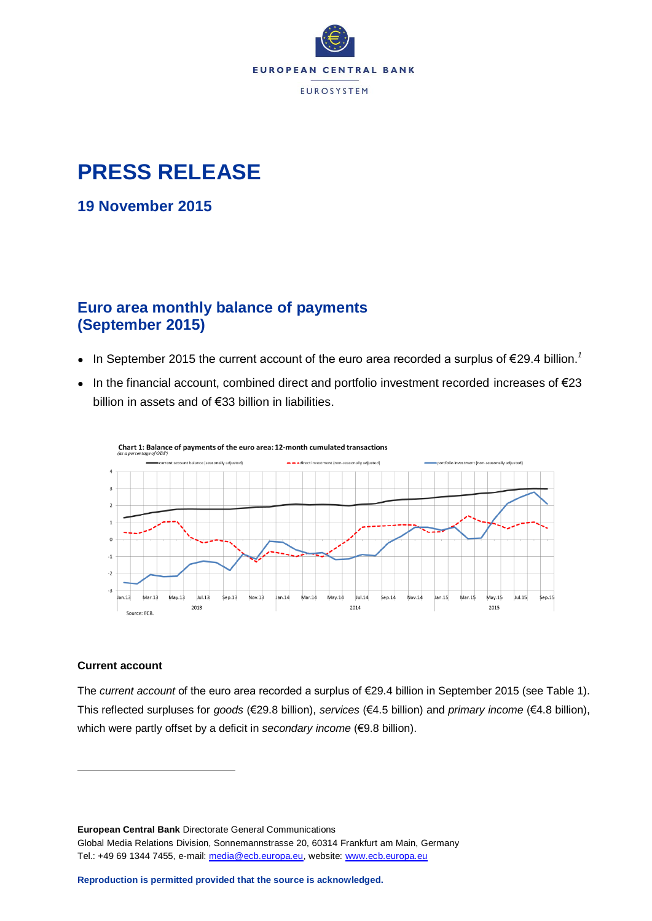

# **PRESS RELEASE**

**19 November 2015**

# **Euro area monthly balance of payments (September 2015)**

- $\bullet$  In September 2015 the current account of the euro area recorded a surplus of  $\epsilon$ 29.4 billion.<sup>1</sup>
- $\bullet$  In the financial account, combined direct and portfolio investment recorded increases of  $\epsilon$ 23 billion in assets and of €33 billion in liabilities.



#### **Current account**

1

The *current account* of the euro area recorded a surplus of €29.4 billion in September 2015 (see Table 1). This reflected surpluses for *goods* (€29.8 billion), *services* (€4.5 billion) and *primary income* (€4.8 billion), which were partly offset by a deficit in *secondary income* (€9.8 billion).

**European Central Bank** Directorate General Communications Global Media Relations Division, Sonnemannstrasse 20, 60314 Frankfurt am Main, Germany Tel.: +49 69 1344 7455, e-mail: [media@ecb.europa.eu,](mailto:media@ecb.europa.eu) website: [www.ecb.europa.eu](http://www.ecb.europa.eu/)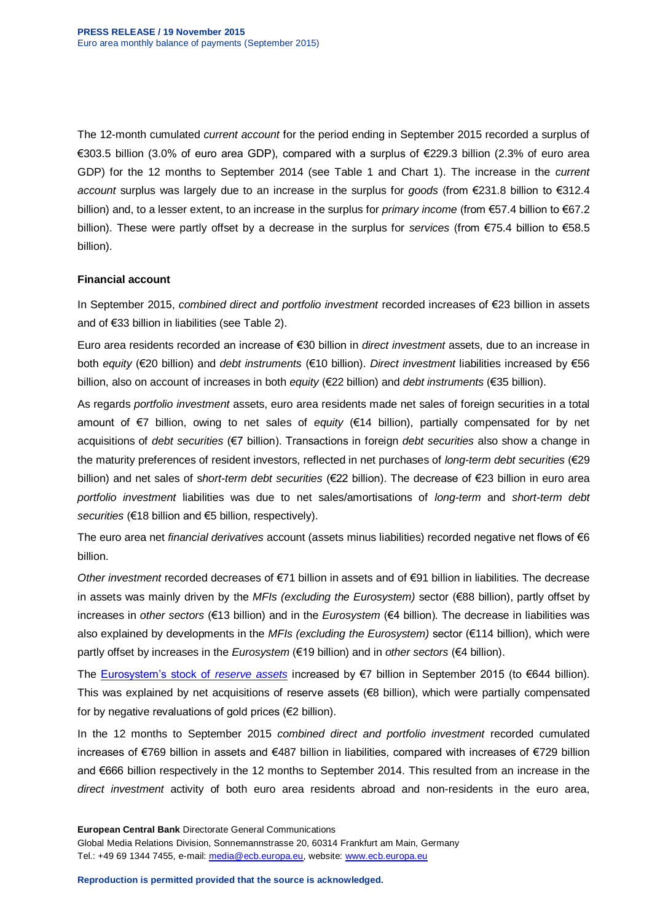The 12-month cumulated *current account* for the period ending in September 2015 recorded a surplus of €303.5 billion (3.0% of euro area GDP), compared with a surplus of €229.3 billion (2.3% of euro area GDP) for the 12 months to September 2014 (see Table 1 and Chart 1). The increase in the *current account* surplus was largely due to an increase in the surplus for *goods* (from €231.8 billion to €312.4 billion) and, to a lesser extent, to an increase in the surplus for *primary income* (from €57.4 billion to €67.2 billion). These were partly offset by a decrease in the surplus for *services* (from €75.4 billion to €58.5 billion).

#### **Financial account**

In September 2015, *combined direct and portfolio investment* recorded increases of €23 billion in assets and of €33 billion in liabilities (see Table 2).

Euro area residents recorded an increase of €30 billion in *direct investment* assets, due to an increase in both *equity* (€20 billion) and *debt instruments* (€10 billion). *Direct investment* liabilities increased by €56 billion, also on account of increases in both *equity* (€22 billion) and *debt instruments* (€35 billion).

As regards *portfolio investment* assets, euro area residents made net sales of foreign securities in a total amount of €7 billion, owing to net sales of *equity* (€14 billion), partially compensated for by net acquisitions of *debt securities* (€7 billion). Transactions in foreign *debt securities* also show a change in the maturity preferences of resident investors, reflected in net purchases of *long-term debt securities* (€29 billion) and net sales of s*hort-term debt securities* (€22 billion). The decrease of €23 billion in euro area *portfolio investment* liabilities was due to net sales/amortisations of *long-term* and *short-term debt securities* (€18 billion and €5 billion, respectively).

The euro area net *financial derivatives* account (assets minus liabilities) recorded negative net flows of €6 billion.

*Other investment* recorded decreases of €71 billion in assets and of €91 billion in liabilities. The decrease in assets was mainly driven by the *MFIs (excluding the Eurosystem)* sector (€88 billion), partly offset by increases in *other sectors* (€13 billion) and in the *Eurosystem* (€4 billion). The decrease in liabilities was also explained by developments in the *MFIs (excluding the Eurosystem)* sector (€114 billion), which were partly offset by increases in the *Eurosystem* (€19 billion) and in *other sectors* (€4 billion).

The [Eurosystem's stock of](http://www.ecb.europa.eu/stats/external/reserves/html/index.en.html) *reserve assets* increased by €7 billion in September 2015 (to €644 billion). This was explained by net acquisitions of reserve assets (€8 billion), which were partially compensated for by negative revaluations of gold prices (€2 billion).

In the 12 months to September 2015 *combined direct and portfolio investment* recorded cumulated increases of €769 billion in assets and €487 billion in liabilities, compared with increases of €729 billion and €666 billion respectively in the 12 months to September 2014. This resulted from an increase in the *direct investment* activity of both euro area residents abroad and non-residents in the euro area,

**European Central Bank** Directorate General Communications Global Media Relations Division, Sonnemannstrasse 20, 60314 Frankfurt am Main, Germany Tel.: +49 69 1344 7455, e-mail: [media@ecb.europa.eu,](mailto:media@ecb.europa.eu) website: [www.ecb.europa.eu](http://www.ecb.europa.eu/)

**Reproduction is permitted provided that the source is acknowledged.**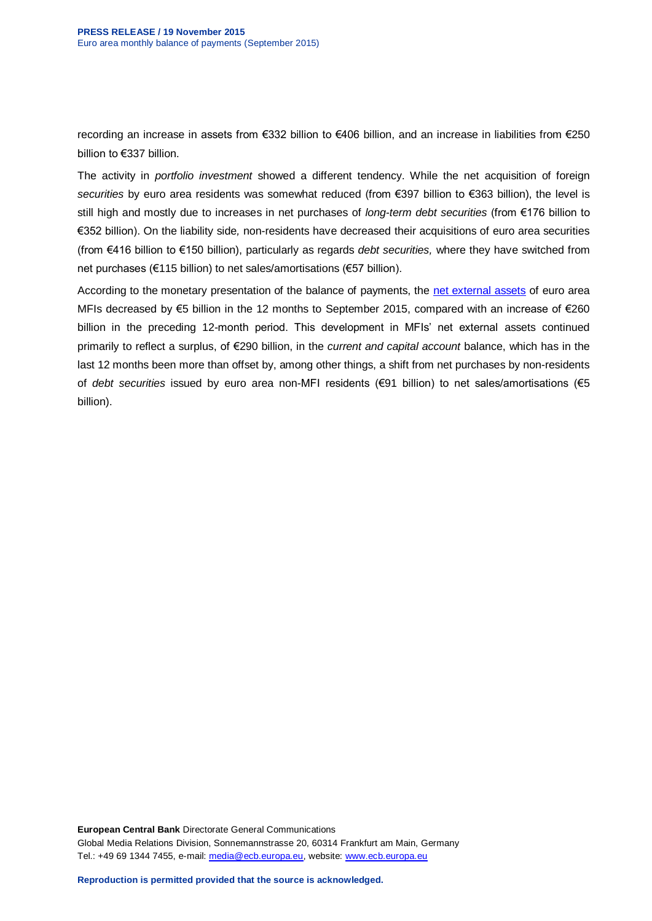recording an increase in assets from €332 billion to €406 billion, and an increase in liabilities from €250 billion to €337 billion.

The activity in *portfolio investment* showed a different tendency. While the net acquisition of foreign *securities* by euro area residents was somewhat reduced (from €397 billion to €363 billion), the level is still high and mostly due to increases in net purchases of *long-term debt securities* (from €176 billion to €352 billion). On the liability side*,* non-residents have decreased their acquisitions of euro area securities (from €416 billion to €150 billion), particularly as regards *debt securities,* where they have switched from net purchases (€115 billion) to net sales/amortisations (€57 billion).

According to the monetary presentation of the balance of payments, the [net external assets](http://sdw.ecb.europa.eu/reports.do?node=100000217) of euro area MFIs decreased by  $\epsilon$ 5 billion in the 12 months to September 2015, compared with an increase of  $\epsilon$ 260 billion in the preceding 12-month period. This development in MFIs' net external assets continued primarily to reflect a surplus, of €290 billion, in the *current and capital account* balance, which has in the last 12 months been more than offset by, among other things, a shift from net purchases by non-residents of *debt securities* issued by euro area non-MFI residents (€91 billion) to net sales/amortisations (€5 billion).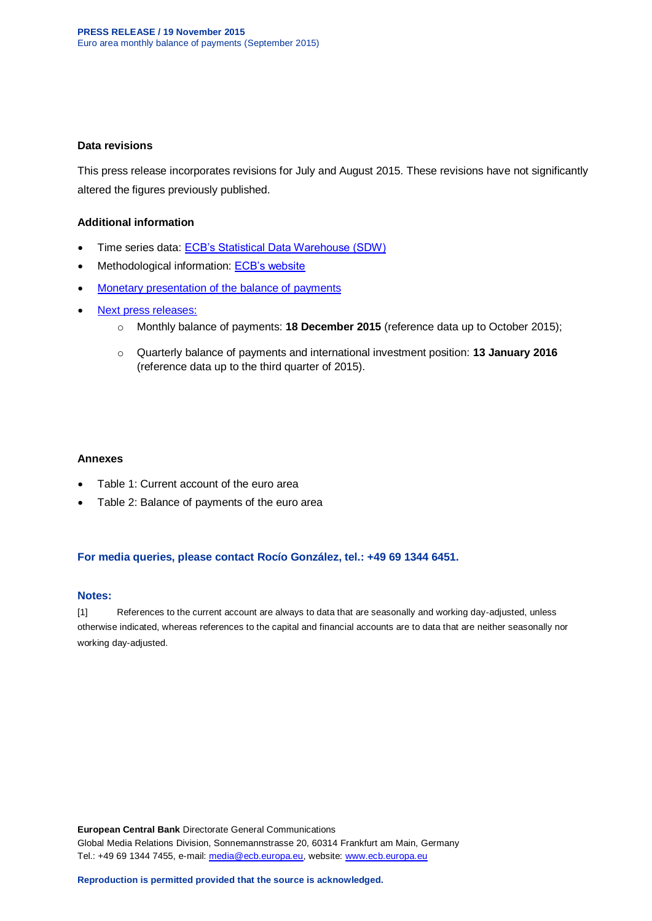#### **Data revisions**

This press release incorporates revisions for July and August 2015. These revisions have not significantly altered the figures previously published.

#### **Additional information**

- Time series data: [ECB's Statistical Data Warehouse \(SDW\)](http://sdw.ecb.europa.eu/browse.do?node=2018790)
- Methodological information: [ECB's website](http://www.ecb.europa.eu/stats/external/balance/html/index.en.html)
- [Monetary presentation of the balance of payments](http://sdw.ecb.europa.eu/reports.do?node=100000217)
- [Next press releases:](https://www.ecb.europa.eu/press/calendars/statscal/ext/html/stprbp.en.html)
	- o Monthly balance of payments: **18 December 2015** (reference data up to October 2015);
	- o Quarterly balance of payments and international investment position: **13 January 2016** (reference data up to the third quarter of 2015).

#### **Annexes**

- Table 1: Current account of the euro area
- Table 2: Balance of payments of the euro area

#### **For media queries, please contact Rocío González, tel.: +49 69 1344 6451.**

#### **Notes:**

[1] References to the current account are always to data that are seasonally and working day-adjusted, unless otherwise indicated, whereas references to the capital and financial accounts are to data that are neither seasonally nor working day-adjusted.

**European Central Bank** Directorate General Communications Global Media Relations Division, Sonnemannstrasse 20, 60314 Frankfurt am Main, Germany Tel.: +49 69 1344 7455, e-mail: [media@ecb.europa.eu,](mailto:media@ecb.europa.eu) website: [www.ecb.europa.eu](http://www.ecb.europa.eu/)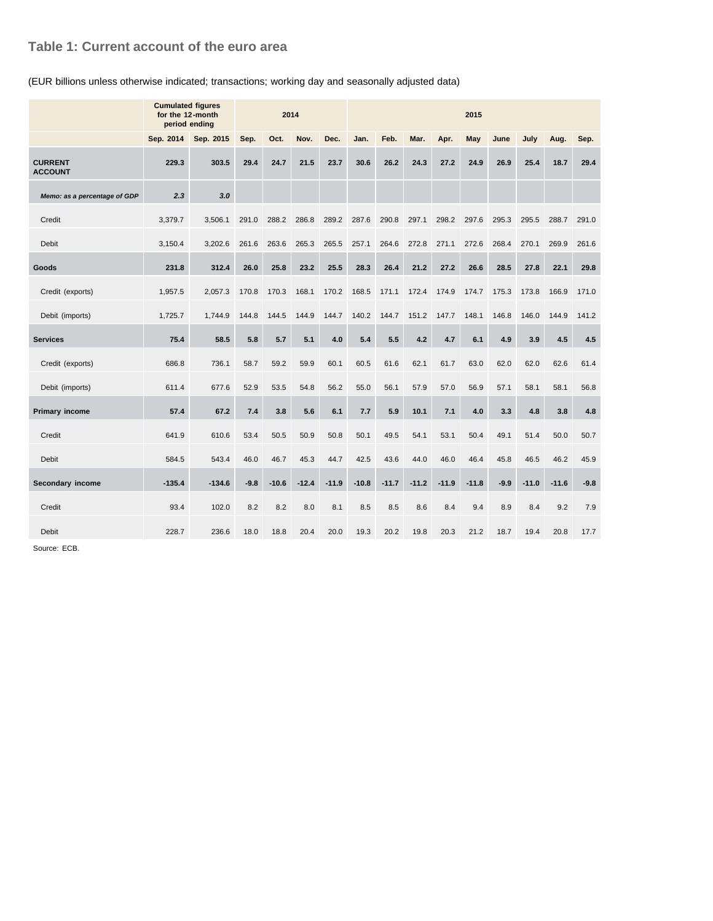### **Table 1: Current account of the euro area**

#### (EUR billions unless otherwise indicated; transactions; working day and seasonally adjusted data)

|                                  | <b>Cumulated figures</b><br>for the 12-month<br>period ending | 2014      |        |         |         | 2015    |         |         |         |         |         |        |         |         |        |
|----------------------------------|---------------------------------------------------------------|-----------|--------|---------|---------|---------|---------|---------|---------|---------|---------|--------|---------|---------|--------|
|                                  | Sep. 2014                                                     | Sep. 2015 | Sep.   | Oct.    | Nov.    | Dec.    | Jan.    | Feb.    | Mar.    | Apr.    | May     | June   | July    | Aug.    | Sep.   |
| <b>CURRENT</b><br><b>ACCOUNT</b> | 229.3                                                         | 303.5     | 29.4   | 24.7    | 21.5    | 23.7    | 30.6    | 26.2    | 24.3    | 27.2    | 24.9    | 26.9   | 25.4    | 18.7    | 29.4   |
| Memo: as a percentage of GDP     | 2.3                                                           | 3.0       |        |         |         |         |         |         |         |         |         |        |         |         |        |
| Credit                           | 3,379.7                                                       | 3,506.1   | 291.0  | 288.2   | 286.8   | 289.2   | 287.6   | 290.8   | 297.1   | 298.2   | 297.6   | 295.3  | 295.5   | 288.7   | 291.0  |
| <b>Debit</b>                     | 3,150.4                                                       | 3,202.6   | 261.6  | 263.6   | 265.3   | 265.5   | 257.1   | 264.6   | 272.8   | 271.1   | 272.6   | 268.4  | 270.1   | 269.9   | 261.6  |
| Goods                            | 231.8                                                         | 312.4     | 26.0   | 25.8    | 23.2    | 25.5    | 28.3    | 26.4    | 21.2    | 27.2    | 26.6    | 28.5   | 27.8    | 22.1    | 29.8   |
| Credit (exports)                 | 1,957.5                                                       | 2,057.3   | 170.8  | 170.3   | 168.1   | 170.2   | 168.5   | 171.1   | 172.4   | 174.9   | 174.7   | 175.3  | 173.8   | 166.9   | 171.0  |
| Debit (imports)                  | 1,725.7                                                       | 1,744.9   | 144.8  | 144.5   | 144.9   | 144.7   | 140.2   | 144.7   | 151.2   | 147.7   | 148.1   | 146.8  | 146.0   | 144.9   | 141.2  |
| <b>Services</b>                  | 75.4                                                          | 58.5      | 5.8    | 5.7     | 5.1     | 4.0     | 5.4     | 5.5     | 4.2     | 4.7     | 6.1     | 4.9    | 3.9     | 4.5     | 4.5    |
| Credit (exports)                 | 686.8                                                         | 736.1     | 58.7   | 59.2    | 59.9    | 60.1    | 60.5    | 61.6    | 62.1    | 61.7    | 63.0    | 62.0   | 62.0    | 62.6    | 61.4   |
| Debit (imports)                  | 611.4                                                         | 677.6     | 52.9   | 53.5    | 54.8    | 56.2    | 55.0    | 56.1    | 57.9    | 57.0    | 56.9    | 57.1   | 58.1    | 58.1    | 56.8   |
| <b>Primary income</b>            | 57.4                                                          | 67.2      | 7.4    | 3.8     | 5.6     | 6.1     | 7.7     | 5.9     | 10.1    | 7.1     | 4.0     | 3.3    | 4.8     | 3.8     | 4.8    |
| Credit                           | 641.9                                                         | 610.6     | 53.4   | 50.5    | 50.9    | 50.8    | 50.1    | 49.5    | 54.1    | 53.1    | 50.4    | 49.1   | 51.4    | 50.0    | 50.7   |
| <b>Debit</b>                     | 584.5                                                         | 543.4     | 46.0   | 46.7    | 45.3    | 44.7    | 42.5    | 43.6    | 44.0    | 46.0    | 46.4    | 45.8   | 46.5    | 46.2    | 45.9   |
| Secondary income                 | $-135.4$                                                      | $-134.6$  | $-9.8$ | $-10.6$ | $-12.4$ | $-11.9$ | $-10.8$ | $-11.7$ | $-11.2$ | $-11.9$ | $-11.8$ | $-9.9$ | $-11.0$ | $-11.6$ | $-9.8$ |
| Credit                           | 93.4                                                          | 102.0     | 8.2    | 8.2     | 8.0     | 8.1     | 8.5     | 8.5     | 8.6     | 8.4     | 9.4     | 8.9    | 8.4     | 9.2     | 7.9    |
| Debit                            | 228.7                                                         | 236.6     | 18.0   | 18.8    | 20.4    | 20.0    | 19.3    | 20.2    | 19.8    | 20.3    | 21.2    | 18.7   | 19.4    | 20.8    | 17.7   |

Source: ECB.